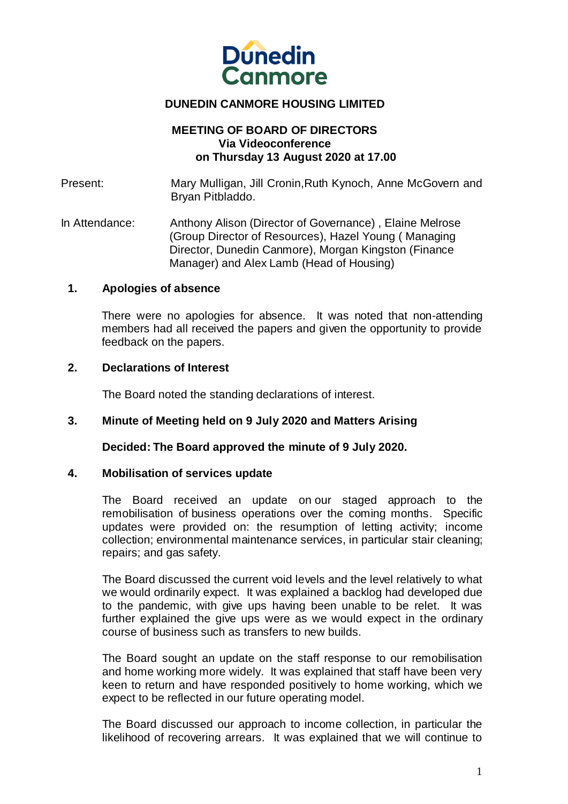

## **DUNEDIN CANMORE HOUSING LIMITED**

## **MEETING OF BOARD OF DIRECTORS Via Videoconference on Thursday 13 August 2020 at 17.00**

Present: Mary Mulligan, Jill Cronin,Ruth Kynoch, Anne McGovern and Bryan Pitbladdo.

In Attendance: Anthony Alison (Director of Governance) , Elaine Melrose (Group Director of Resources), Hazel Young ( Managing Director, Dunedin Canmore), Morgan Kingston (Finance Manager) and Alex Lamb (Head of Housing)

### **1. Apologies of absence**

There were no apologies for absence. It was noted that non-attending members had all received the papers and given the opportunity to provide feedback on the papers.

#### **2. Declarations of Interest**

The Board noted the standing declarations of interest.

## **3. Minute of Meeting held on 9 July 2020 and Matters Arising**

**Decided: The Board approved the minute of 9 July 2020.**

#### **4. Mobilisation of services update**

The Board received an update on our staged approach to the remobilisation of business operations over the coming months. Specific updates were provided on: the resumption of letting activity; income collection; environmental maintenance services, in particular stair cleaning; repairs; and gas safety.

The Board discussed the current void levels and the level relatively to what we would ordinarily expect. It was explained a backlog had developed due to the pandemic, with give ups having been unable to be relet. It was further explained the give ups were as we would expect in the ordinary course of business such as transfers to new builds.

The Board sought an update on the staff response to our remobilisation and home working more widely. It was explained that staff have been very keen to return and have responded positively to home working, which we expect to be reflected in our future operating model.

The Board discussed our approach to income collection, in particular the likelihood of recovering arrears. It was explained that we will continue to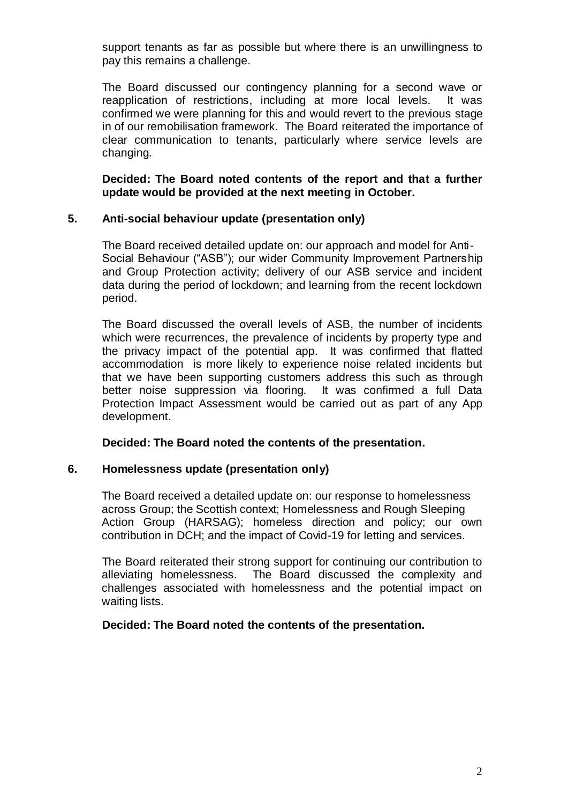support tenants as far as possible but where there is an unwillingness to pay this remains a challenge.

The Board discussed our contingency planning for a second wave or reapplication of restrictions, including at more local levels. It was confirmed we were planning for this and would revert to the previous stage in of our remobilisation framework. The Board reiterated the importance of clear communication to tenants, particularly where service levels are changing.

**Decided: The Board noted contents of the report and that a further update would be provided at the next meeting in October.**

## **5. Anti-social behaviour update (presentation only)**

 The Board received detailed update on: our approach and model for Anti-Social Behaviour ("ASB"); our wider Community Improvement Partnership and Group Protection activity; delivery of our ASB service and incident data during the period of lockdown; and learning from the recent lockdown period.

The Board discussed the overall levels of ASB, the number of incidents which were recurrences, the prevalence of incidents by property type and the privacy impact of the potential app. It was confirmed that flatted accommodation is more likely to experience noise related incidents but that we have been supporting customers address this such as through better noise suppression via flooring. It was confirmed a full Data Protection Impact Assessment would be carried out as part of any App development.

## **Decided: The Board noted the contents of the presentation.**

## **6. Homelessness update (presentation only)**

The Board received a detailed update on: our response to homelessness across Group; the Scottish context; Homelessness and Rough Sleeping Action Group (HARSAG); homeless direction and policy; our own contribution in DCH; and the impact of Covid-19 for letting and services.

The Board reiterated their strong support for continuing our contribution to alleviating homelessness. The Board discussed the complexity and challenges associated with homelessness and the potential impact on waiting lists.

## **Decided: The Board noted the contents of the presentation.**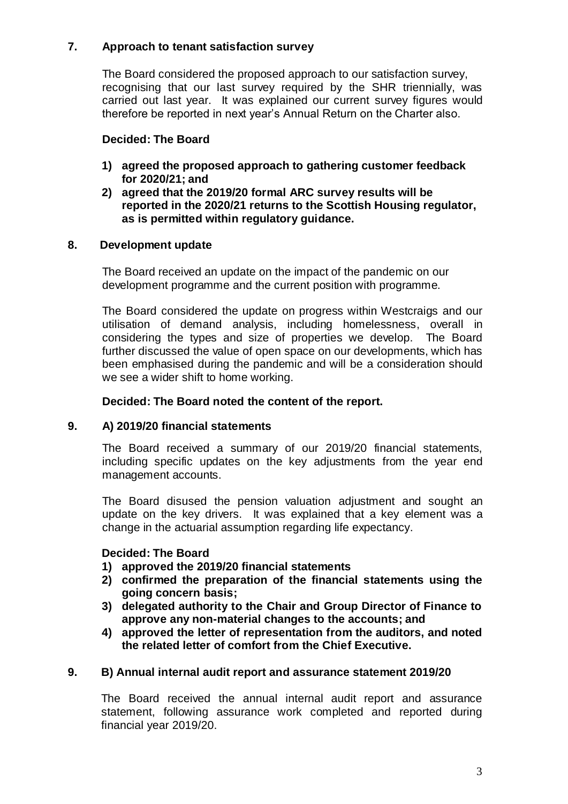# **7. Approach to tenant satisfaction survey**

The Board considered the proposed approach to our satisfaction survey, recognising that our last survey required by the SHR triennially, was carried out last year. It was explained our current survey figures would therefore be reported in next year's Annual Return on the Charter also.

# **Decided: The Board**

- **1) agreed the proposed approach to gathering customer feedback for 2020/21; and**
- **2) agreed that the 2019/20 formal ARC survey results will be reported in the 2020/21 returns to the Scottish Housing regulator, as is permitted within regulatory guidance.**

# **8. Development update**

The Board received an update on the impact of the pandemic on our development programme and the current position with programme.

The Board considered the update on progress within Westcraigs and our utilisation of demand analysis, including homelessness, overall in considering the types and size of properties we develop. The Board further discussed the value of open space on our developments, which has been emphasised during the pandemic and will be a consideration should we see a wider shift to home working.

# **Decided: The Board noted the content of the report.**

# **9. A) 2019/20 financial statements**

The Board received a summary of our 2019/20 financial statements, including specific updates on the key adjustments from the year end management accounts.

The Board disused the pension valuation adjustment and sought an update on the key drivers. It was explained that a key element was a change in the actuarial assumption regarding life expectancy.

# **Decided: The Board**

- **1) approved the 2019/20 financial statements**
- **2) confirmed the preparation of the financial statements using the going concern basis;**
- **3) delegated authority to the Chair and Group Director of Finance to approve any non-material changes to the accounts; and**
- **4) approved the letter of representation from the auditors, and noted the related letter of comfort from the Chief Executive.**

# **9. B) Annual internal audit report and assurance statement 2019/20**

The Board received the annual internal audit report and assurance statement, following assurance work completed and reported during financial year 2019/20.